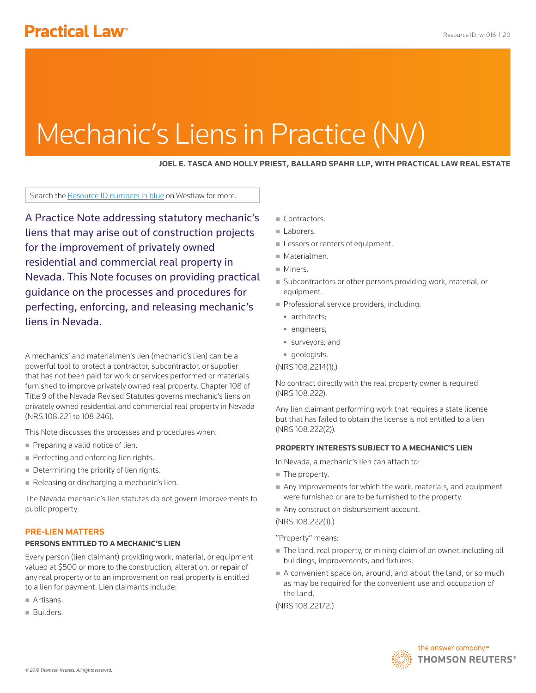# Mechanic's Liens in Practice (NV)

#### **JOEL E. TASCA AND HOLLY PRIEST, BALLARD SPAHR LLP, WITH PRACTICAL LAW REAL ESTATE**

Search the Resource ID numbers in blue on Westlaw for more.

A Practice Note addressing statutory mechanic's liens that may arise out of construction projects for the improvement of privately owned residential and commercial real property in Nevada. This Note focuses on providing practical guidance on the processes and procedures for perfecting, enforcing, and releasing mechanic's liens in Nevada.

A mechanics' and materialmen's lien (mechanic's lien) can be a powerful tool to protect a contractor, subcontractor, or supplier that has not been paid for work or services performed or materials furnished to improve privately owned real property. Chapter 108 of Title 9 of the Nevada Revised Statutes governs mechanic's liens on privately owned residential and commercial real property in Nevada (NRS 108.221 to 108.246).

This Note discusses the processes and procedures when:

- Preparing a valid notice of lien.
- Perfecting and enforcing lien rights.
- Determining the priority of lien rights.
- Releasing or discharging a mechanic's lien.

The Nevada mechanic's lien statutes do not govern improvements to public property.

#### **PRE-LIEN MATTERS**

## **PERSONS ENTITLED TO A MECHANIC'S LIEN**

Every person (lien claimant) providing work, material, or equipment valued at \$500 or more to the construction, alteration, or repair of any real property or to an improvement on real property is entitled to a lien for payment. Lien claimants include:

- Artisans.
- **Builders.**
- Contractors.
- Laborers.
- **Lessors or renters of equipment.**
- **Materialmen.**
- **Miners.**
- Subcontractors or other persons providing work, material, or equipment.
- Professional service providers, including:
	- architects:
	- engineers;
	- surveyors; and
	- geologists.

(NRS 108.2214(1).)

No contract directly with the real property owner is required (NRS 108.222).

Any lien claimant performing work that requires a state license but that has failed to obtain the license is not entitled to a lien (NRS 108.222(2)).

## **PROPERTY INTERESTS SUBJECT TO A MECHANIC'S LIEN**

In Nevada, a mechanic's lien can attach to:

- $\blacksquare$  The property.
- Any improvements for which the work, materials, and equipment were furnished or are to be furnished to the property.
- Any construction disbursement account.

## (NRS 108.222(1).)

"Property" means:

- The land, real property, or mining claim of an owner, including all buildings, improvements, and fixtures.
- A convenient space on, around, and about the land, or so much as may be required for the convenient use and occupation of the land.

(NRS 108.22172.)

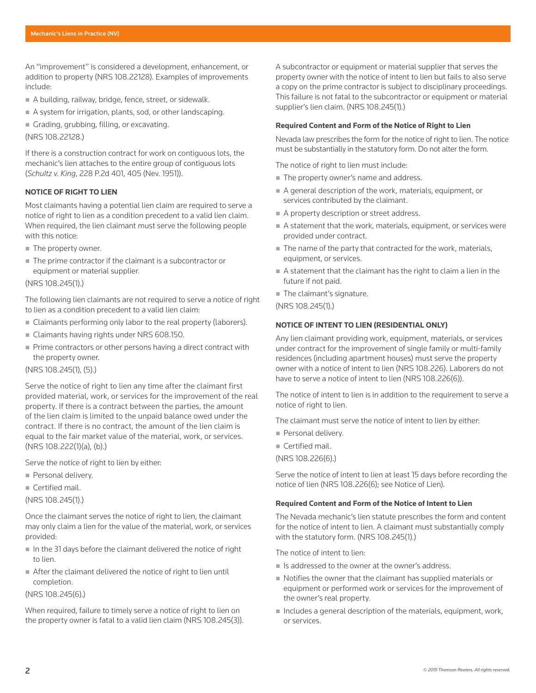An "improvement" is considered a development, enhancement, or addition to property (NRS 108.22128). Examples of improvements include:

- A building, railway, bridge, fence, street, or sidewalk.
- A system for irrigation, plants, sod, or other landscaping.
- Grading, grubbing, filling, or excavating.

#### (NRS 108.22128.)

If there is a construction contract for work on contiguous lots, the mechanic's lien attaches to the entire group of contiguous lots (*Schultz v. King*, 228 P.2d 401, 405 (Nev. 1951)).

## **NOTICE OF RIGHT TO LIEN**

Most claimants having a potential lien claim are required to serve a notice of right to lien as a condition precedent to a valid lien claim. When required, the lien claimant must serve the following people with this notice:

- The property owner.
- The prime contractor if the claimant is a subcontractor or equipment or material supplier.

#### (NRS 108.245(1).)

The following lien claimants are not required to serve a notice of right to lien as a condition precedent to a valid lien claim:

- Claimants performing only labor to the real property (laborers).
- Claimants having rights under NRS 608.150.
- Prime contractors or other persons having a direct contract with the property owner.

(NRS 108.245(1), (5).)

Serve the notice of right to lien any time after the claimant first provided material, work, or services for the improvement of the real property. If there is a contract between the parties, the amount of the lien claim is limited to the unpaid balance owed under the contract. If there is no contract, the amount of the lien claim is equal to the fair market value of the material, work, or services. (NRS 108.222(1)(a), (b).)

Serve the notice of right to lien by either:

- Personal delivery.
- Certified mail.

(NRS 108.245(1).)

Once the claimant serves the notice of right to lien, the claimant may only claim a lien for the value of the material, work, or services provided:

- In the 31 days before the claimant delivered the notice of right to lien.
- After the claimant delivered the notice of right to lien until completion.

## (NRS 108.245(6).)

When required, failure to timely serve a notice of right to lien on the property owner is fatal to a valid lien claim (NRS 108.245(3)). A subcontractor or equipment or material supplier that serves the property owner with the notice of intent to lien but fails to also serve a copy on the prime contractor is subject to disciplinary proceedings. This failure is not fatal to the subcontractor or equipment or material supplier's lien claim. (NRS 108.245(1).)

#### **Required Content and Form of the Notice of Right to Lien**

Nevada law prescribes the form for the notice of right to lien. The notice must be substantially in the statutory form. Do not alter the form.

The notice of right to lien must include:

- The property owner's name and address.
- A general description of the work, materials, equipment, or services contributed by the claimant.
- A property description or street address.
- A statement that the work, materials, equipment, or services were provided under contract.
- The name of the party that contracted for the work, materials, equipment, or services.
- A statement that the claimant has the right to claim a lien in the future if not paid.
- The claimant's signature.

(NRS 108.245(1).)

## **NOTICE OF INTENT TO LIEN (RESIDENTIAL ONLY)**

Any lien claimant providing work, equipment, materials, or services under contract for the improvement of single family or multi-family residences (including apartment houses) must serve the property owner with a notice of intent to lien (NRS 108.226). Laborers do not have to serve a notice of intent to lien (NRS 108.226(6)).

The notice of intent to lien is in addition to the requirement to serve a notice of right to lien.

The claimant must serve the notice of intent to lien by either:

- Personal delivery.
- Certified mail.
- (NRS 108.226(6).)

Serve the notice of intent to lien at least 15 days before recording the notice of lien (NRS 108.226(6); see Notice of Lien).

#### **Required Content and Form of the Notice of Intent to Lien**

The Nevada mechanic's lien statute prescribes the form and content for the notice of intent to lien. A claimant must substantially comply with the statutory form. (NRS 108.245(1).)

The notice of intent to lien:

- $\blacksquare$  Is addressed to the owner at the owner's address.
- Notifies the owner that the claimant has supplied materials or equipment or performed work or services for the improvement of the owner's real property.
- $\blacksquare$  Includes a general description of the materials, equipment, work, or services.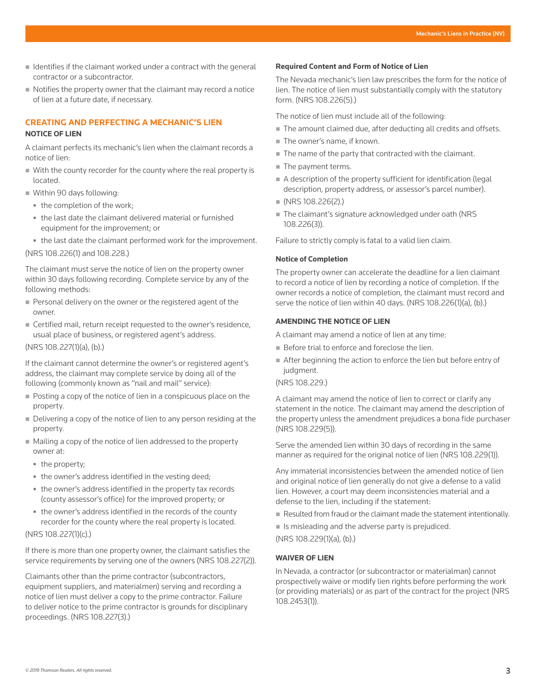- $\blacksquare$  Identifies if the claimant worked under a contract with the general contractor or a subcontractor.
- Notifies the property owner that the claimant may record a notice of lien at a future date, if necessary.

## **CREATING AND PERFECTING A MECHANIC'S LIEN NOTICE OF LIEN**

A claimant perfects its mechanic's lien when the claimant records a notice of lien:

- With the county recorder for the county where the real property is located.
- Within 90 days following:
	- $\bullet$  the completion of the work;
	- the last date the claimant delivered material or furnished equipment for the improvement; or
	- the last date the claimant performed work for the improvement.

(NRS 108.226(1) and 108.228.)

The claimant must serve the notice of lien on the property owner within 30 days following recording. Complete service by any of the following methods:

- Personal delivery on the owner or the registered agent of the owner.
- Certified mail, return receipt requested to the owner's residence, usual place of business, or registered agent's address.

(NRS 108.227(1)(a), (b).)

If the claimant cannot determine the owner's or registered agent's address, the claimant may complete service by doing all of the following (commonly known as "nail and mail" service):

- **Posting a copy of the notice of lien in a conspicuous place on the** property.
- Delivering a copy of the notice of lien to any person residing at the property.
- Mailing a copy of the notice of lien addressed to the property owner at:
	- $\bullet$  the property;
	- the owner's address identified in the vesting deed;
	- the owner's address identified in the property tax records (county assessor's office) for the improved property; or
	- the owner's address identified in the records of the county recorder for the county where the real property is located.

## (NRS 108.227(1)(c).)

If there is more than one property owner, the claimant satisfies the service requirements by serving one of the owners (NRS 108.227(2)).

Claimants other than the prime contractor (subcontractors, equipment suppliers, and materialmen) serving and recording a notice of lien must deliver a copy to the prime contractor. Failure to deliver notice to the prime contractor is grounds for disciplinary proceedings. (NRS 108.227(3).)

#### **Required Content and Form of Notice of Lien**

The Nevada mechanic's lien law prescribes the form for the notice of lien. The notice of lien must substantially comply with the statutory form. (NRS 108.226(5).)

The notice of lien must include all of the following:

- The amount claimed due, after deducting all credits and offsets.
- The owner's name, if known.
- The name of the party that contracted with the claimant.
- The payment terms.
- A description of the property sufficient for identification (legal description, property address, or assessor's parcel number).
- (NRS 108.226(2).)
- The claimant's signature acknowledged under oath (NRS 108.226(3)).

Failure to strictly comply is fatal to a valid lien claim.

#### **Notice of Completion**

The property owner can accelerate the deadline for a lien claimant to record a notice of lien by recording a notice of completion. If the owner records a notice of completion, the claimant must record and serve the notice of lien within 40 days. (NRS 108.226(1)(a), (b).)

#### **AMENDING THE NOTICE OF LIEN**

A claimant may amend a notice of lien at any time:

- Before trial to enforce and foreclose the lien.
- After beginning the action to enforce the lien but before entry of judgment.

#### (NRS 108.229.)

A claimant may amend the notice of lien to correct or clarify any statement in the notice. The claimant may amend the description of the property unless the amendment prejudices a bona fide purchaser (NRS 108.229(5)).

Serve the amended lien within 30 days of recording in the same manner as required for the original notice of lien (NRS 108.229(1)).

Any immaterial inconsistencies between the amended notice of lien and original notice of lien generally do not give a defense to a valid lien. However, a court may deem inconsistencies material and a defense to the lien, including if the statement:

- Resulted from fraud or the claimant made the statement intentionally.
- $\blacksquare$  Is misleading and the adverse party is prejudiced.

(NRS 108.229(1)(a), (b).)

## **WAIVER OF LIEN**

In Nevada, a contractor (or subcontractor or materialman) cannot prospectively waive or modify lien rights before performing the work (or providing materials) or as part of the contract for the project (NRS 108.2453(1)).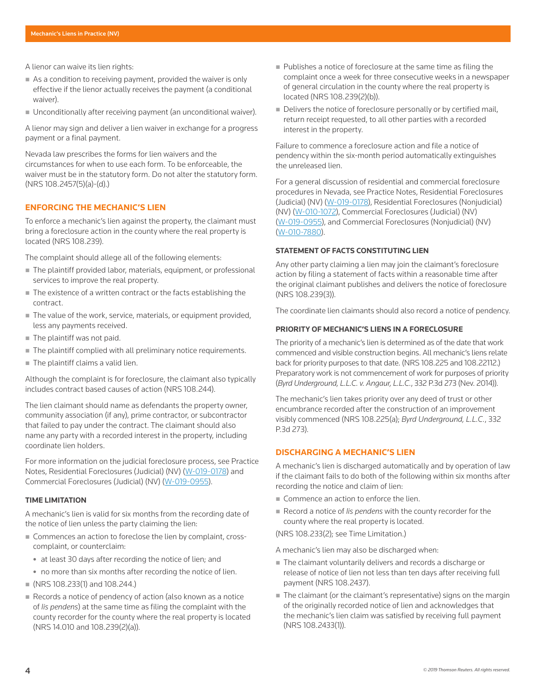A lienor can waive its lien rights:

- As a condition to receiving payment, provided the waiver is only effective if the lienor actually receives the payment (a conditional waiver).
- Unconditionally after receiving payment (an unconditional waiver).

A lienor may sign and deliver a lien waiver in exchange for a progress payment or a final payment.

Nevada law prescribes the forms for lien waivers and the circumstances for when to use each form. To be enforceable, the waiver must be in the statutory form. Do not alter the statutory form. (NRS 108.2457(5)(a)-(d).)

## **ENFORCING THE MECHANIC'S LIEN**

To enforce a mechanic's lien against the property, the claimant must bring a foreclosure action in the county where the real property is located (NRS 108.239).

The complaint should allege all of the following elements:

- The plaintiff provided labor, materials, equipment, or professional services to improve the real property.
- The existence of a written contract or the facts establishing the contract.
- The value of the work, service, materials, or equipment provided, less any payments received.
- The plaintiff was not paid.
- The plaintiff complied with all preliminary notice requirements.
- $\blacksquare$  The plaintiff claims a valid lien.

Although the complaint is for foreclosure, the claimant also typically includes contract based causes of action (NRS 108.244).

The lien claimant should name as defendants the property owner, community association (if any), prime contractor, or subcontractor that failed to pay under the contract. The claimant should also name any party with a recorded interest in the property, including coordinate lien holders.

For more information on the judicial foreclosure process, see Practice Notes, Residential Foreclosures (Judicial) (NV) (W-019-0178) and Commercial Foreclosures (Judicial) (NV) (W-019-0955).

#### **TIME LIMITATION**

A mechanic's lien is valid for six months from the recording date of the notice of lien unless the party claiming the lien:

- Commences an action to foreclose the lien by complaint, crosscomplaint, or counterclaim:
	- at least 30 days after recording the notice of lien; and
	- no more than six months after recording the notice of lien.
- (NRS 108.233(1) and 108.244.)
- Records a notice of pendency of action (also known as a notice of *lis pendens*) at the same time as filing the complaint with the county recorder for the county where the real property is located (NRS 14.010 and 108.239(2)(a)).
- **Publishes a notice of foreclosure at the same time as filing the** complaint once a week for three consecutive weeks in a newspaper of general circulation in the county where the real property is located (NRS 108.239(2)(b)).
- Delivers the notice of foreclosure personally or by certified mail, return receipt requested, to all other parties with a recorded interest in the property.

Failure to commence a foreclosure action and file a notice of pendency within the six-month period automatically extinguishes the unreleased lien.

For a general discussion of residential and commercial foreclosure procedures in Nevada, see Practice Notes, Residential Foreclosures (Judicial) (NV) (W-019-0178), Residential Foreclosures (Nonjudicial) (NV) (W-010-1072), Commercial Foreclosures (Judicial) (NV) (W-019-0955), and Commercial Foreclosures (Nonjudicial) (NV) (W-010-7880).

## **STATEMENT OF FACTS CONSTITUTING LIEN**

Any other party claiming a lien may join the claimant's foreclosure action by filing a statement of facts within a reasonable time after the original claimant publishes and delivers the notice of foreclosure (NRS 108.239(3)).

The coordinate lien claimants should also record a notice of pendency.

#### **PRIORITY OF MECHANIC'S LIENS IN A FORECLOSURE**

The priority of a mechanic's lien is determined as of the date that work commenced and visible construction begins. All mechanic's liens relate back for priority purposes to that date. (NRS 108.225 and 108.22112.) Preparatory work is not commencement of work for purposes of priority (*Byrd Underground, L.L.C. v. Angaur, L.L.C.*, 332 P.3d 273 (Nev. 2014)).

The mechanic's lien takes priority over any deed of trust or other encumbrance recorded after the construction of an improvement visibly commenced (NRS 108.225(a); *Byrd Underground, L.L.C.*, 332 P.3d 273).

## **DISCHARGING A MECHANIC'S LIEN**

A mechanic's lien is discharged automatically and by operation of law if the claimant fails to do both of the following within six months after recording the notice and claim of lien:

- Commence an action to enforce the lien.
- Record a notice of *lis pendens* with the county recorder for the county where the real property is located.

(NRS 108.233(2); see Time Limitation.)

A mechanic's lien may also be discharged when:

- The claimant voluntarily delivers and records a discharge or release of notice of lien not less than ten days after receiving full payment (NRS 108.2437).
- The claimant (or the claimant's representative) signs on the margin of the originally recorded notice of lien and acknowledges that the mechanic's lien claim was satisfied by receiving full payment (NRS 108.2433(1)).